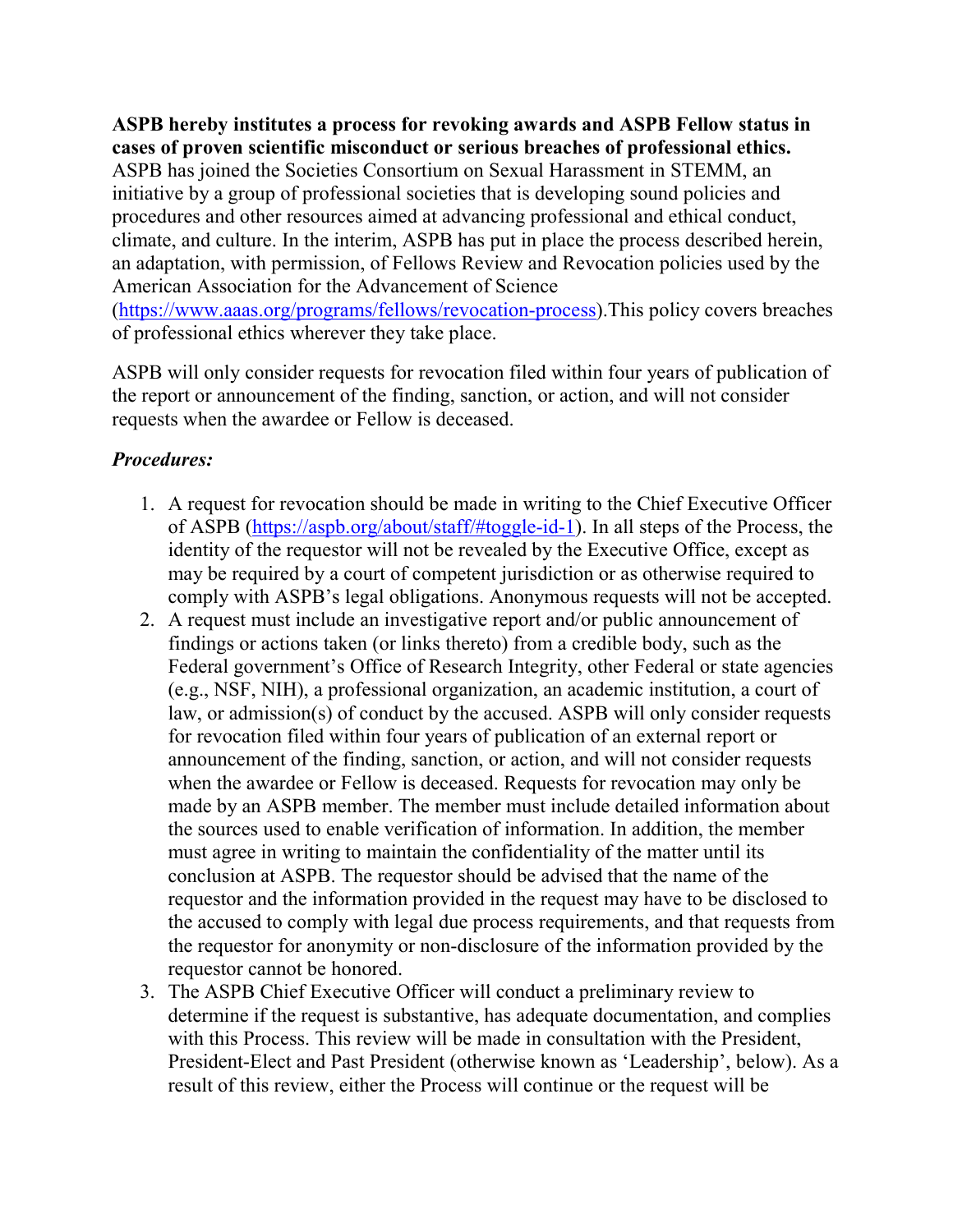**ASPB hereby institutes a process for revoking awards and ASPB Fellow status in cases of proven scientific misconduct or serious breaches of professional ethics.**  ASPB has joined the Societies Consortium on Sexual Harassment in STEMM, an initiative by a group of professional societies that is developing sound policies and procedures and other resources aimed at advancing professional and ethical conduct, climate, and culture. In the interim, ASPB has put in place the process described herein, an adaptation, with permission, of Fellows Review and Revocation policies used by the American Association for the Advancement of Science [\(https://www.aaas.org/programs/fellows/revocation-process\)](https://www.aaas.org/programs/fellows/revocation-process).This policy covers breaches of professional ethics wherever they take place.

ASPB will only consider requests for revocation filed within four years of publication of the report or announcement of the finding, sanction, or action, and will not consider requests when the awardee or Fellow is deceased.

## *Procedures:*

- 1. A request for revocation should be made in writing to the Chief Executive Officer of ASPB [\(https://aspb.org/about/staff/#toggle-id-1\)](https://aspb.org/about/staff/#toggle-id-1). In all steps of the Process, the identity of the requestor will not be revealed by the Executive Office, except as may be required by a court of competent jurisdiction or as otherwise required to comply with ASPB's legal obligations. Anonymous requests will not be accepted.
- 2. A request must include an investigative report and/or public announcement of findings or actions taken (or links thereto) from a credible body, such as the Federal government's Office of Research Integrity, other Federal or state agencies (e.g., NSF, NIH), a professional organization, an academic institution, a court of law, or admission(s) of conduct by the accused. ASPB will only consider requests for revocation filed within four years of publication of an external report or announcement of the finding, sanction, or action, and will not consider requests when the awardee or Fellow is deceased. Requests for revocation may only be made by an ASPB member. The member must include detailed information about the sources used to enable verification of information. In addition, the member must agree in writing to maintain the confidentiality of the matter until its conclusion at ASPB. The requestor should be advised that the name of the requestor and the information provided in the request may have to be disclosed to the accused to comply with legal due process requirements, and that requests from the requestor for anonymity or non-disclosure of the information provided by the requestor cannot be honored.
- 3. The ASPB Chief Executive Officer will conduct a preliminary review to determine if the request is substantive, has adequate documentation, and complies with this Process. This review will be made in consultation with the President, President-Elect and Past President (otherwise known as 'Leadership', below). As a result of this review, either the Process will continue or the request will be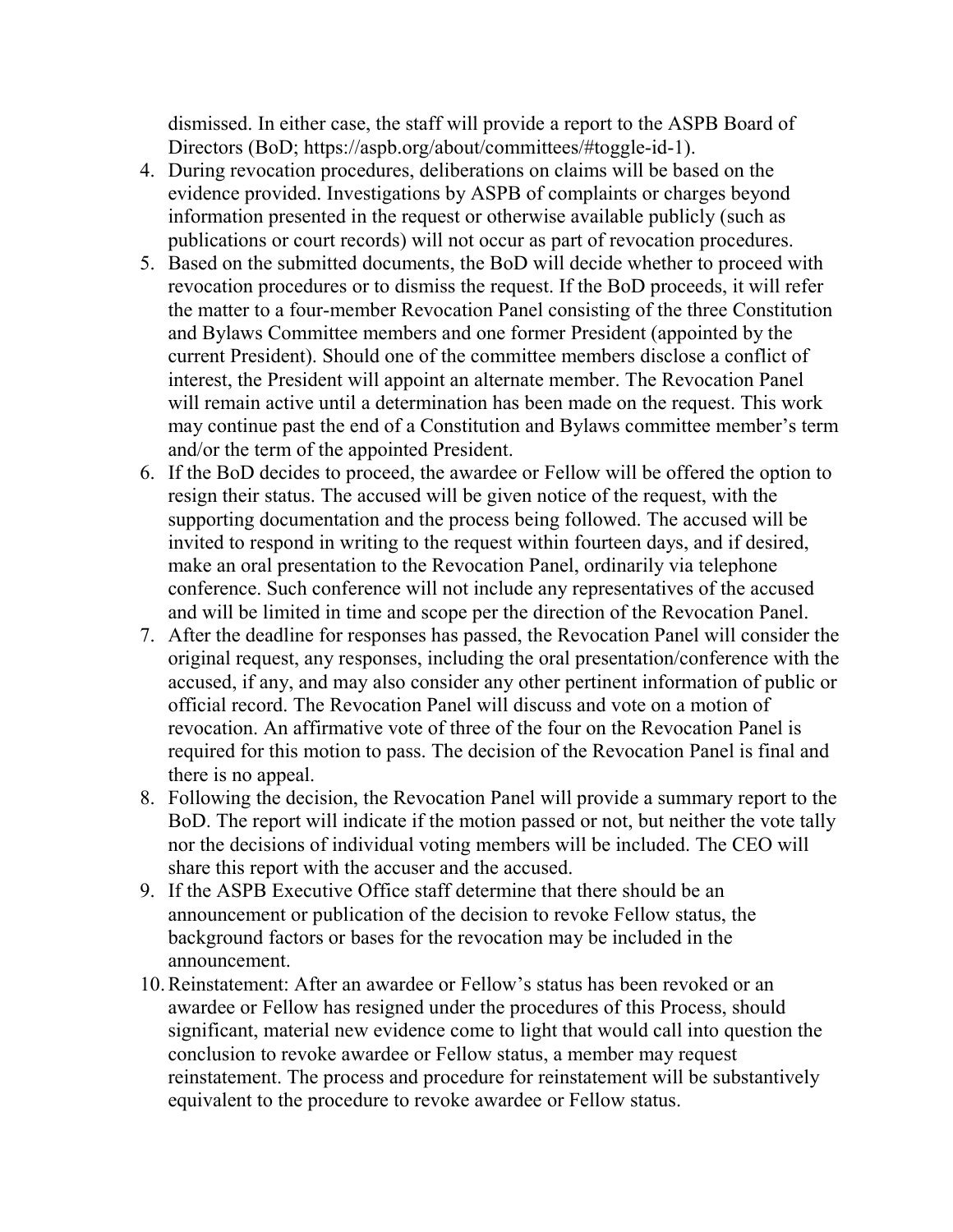dismissed. In either case, the staff will provide a report to the ASPB Board of Directors (BoD; https://aspb.org/about/committees/#toggle-id-1).

- 4. During revocation procedures, deliberations on claims will be based on the evidence provided. Investigations by ASPB of complaints or charges beyond information presented in the request or otherwise available publicly (such as publications or court records) will not occur as part of revocation procedures.
- 5. Based on the submitted documents, the BoD will decide whether to proceed with revocation procedures or to dismiss the request. If the BoD proceeds, it will refer the matter to a four-member Revocation Panel consisting of the three Constitution and Bylaws Committee members and one former President (appointed by the current President). Should one of the committee members disclose a conflict of interest, the President will appoint an alternate member. The Revocation Panel will remain active until a determination has been made on the request. This work may continue past the end of a Constitution and Bylaws committee member's term and/or the term of the appointed President.
- 6. If the BoD decides to proceed, the awardee or Fellow will be offered the option to resign their status. The accused will be given notice of the request, with the supporting documentation and the process being followed. The accused will be invited to respond in writing to the request within fourteen days, and if desired, make an oral presentation to the Revocation Panel, ordinarily via telephone conference. Such conference will not include any representatives of the accused and will be limited in time and scope per the direction of the Revocation Panel.
- 7. After the deadline for responses has passed, the Revocation Panel will consider the original request, any responses, including the oral presentation/conference with the accused, if any, and may also consider any other pertinent information of public or official record. The Revocation Panel will discuss and vote on a motion of revocation. An affirmative vote of three of the four on the Revocation Panel is required for this motion to pass. The decision of the Revocation Panel is final and there is no appeal.
- 8. Following the decision, the Revocation Panel will provide a summary report to the BoD. The report will indicate if the motion passed or not, but neither the vote tally nor the decisions of individual voting members will be included. The CEO will share this report with the accuser and the accused.
- 9. If the ASPB Executive Office staff determine that there should be an announcement or publication of the decision to revoke Fellow status, the background factors or bases for the revocation may be included in the announcement.
- 10.Reinstatement: After an awardee or Fellow's status has been revoked or an awardee or Fellow has resigned under the procedures of this Process, should significant, material new evidence come to light that would call into question the conclusion to revoke awardee or Fellow status, a member may request reinstatement. The process and procedure for reinstatement will be substantively equivalent to the procedure to revoke awardee or Fellow status.